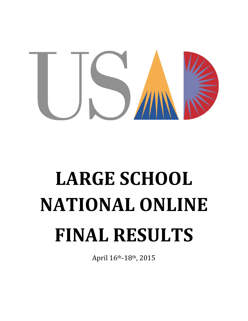

# **LARGE SCHOOL NATIONAL ONLINE FINAL RESULTS**

April 16th-18th, 2015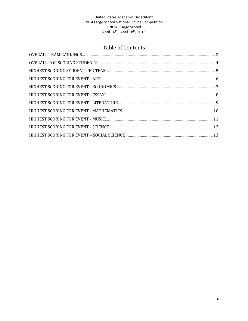# Table of Contents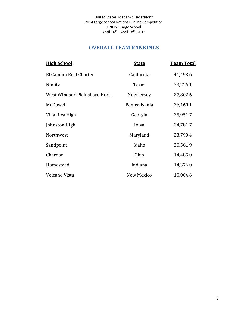# **OVERALL TEAM RANKINGS**

<span id="page-2-0"></span>

| <b>High School</b>            | <b>State</b> | <u>Team Total</u> |
|-------------------------------|--------------|-------------------|
| El Camino Real Charter        | California   | 41,493.6          |
| Nimitz                        | Texas        | 33,226.1          |
| West Windsor-Plainsboro North | New Jersey   | 27,802.6          |
| McDowell                      | Pennsylvania | 26,160.1          |
| Villa Rica High               | Georgia      | 25,951.7          |
| Johnston High                 | Iowa         | 24,781.7          |
| Northwest                     | Maryland     | 23,790.4          |
| Sandpoint                     | Idaho        | 20,561.9          |
| Chardon                       | Ohio         | 14,485.0          |
| Homestead                     | Indiana      | 14,376.0          |
| Volcano Vista                 | New Mexico   | 10,004.6          |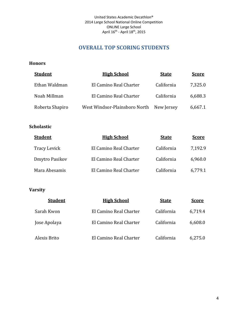# **OVERALL TOP SCORING STUDENTS**

#### <span id="page-3-0"></span>**Honors**

| <b>Student</b>  | <b>High School</b>            | <b>State</b> | <b>Score</b> |
|-----------------|-------------------------------|--------------|--------------|
| Ethan Waldman   | El Camino Real Charter        | California   | 7,325.0      |
| Noah Millman    | El Camino Real Charter        | California   | 6,688.3      |
| Roberta Shapiro | West Windsor-Plainsboro North | New Jersey   | 6,667.1      |

## **Scholastic**

| <b>Student</b> | <b>High School</b>     | <b>State</b> | <b>Score</b> |
|----------------|------------------------|--------------|--------------|
| Tracy Levick   | El Camino Real Charter | California   | 7,192.9      |
| Dmytro Pasikov | El Camino Real Charter | California   | 6,960.0      |
| Mara Abesamis  | El Camino Real Charter | California   | 6,779.1      |

| <b>Student</b> | <b>High School</b>     | <b>State</b> | <b>Score</b> |
|----------------|------------------------|--------------|--------------|
| Sarah Kwon     | El Camino Real Charter | California   | 6,719.4      |
| Jose Apolaya   | El Camino Real Charter | California   | 6,608.0      |
| Alexis Brito   | El Camino Real Charter | California   | 6,275.0      |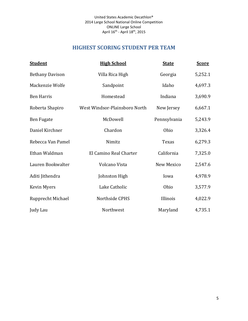# **HIGHEST SCORING STUDENT PER TEAM**

<span id="page-4-0"></span>

| <b>Student</b>         | <b>High School</b>            | <b>State</b> | <b>Score</b> |
|------------------------|-------------------------------|--------------|--------------|
| <b>Bethany Davison</b> | Villa Rica High               | Georgia      | 5,252.1      |
| Mackenzie Wolfe        | Sandpoint                     | Idaho        | 4,697.3      |
| <b>Ben Harris</b>      | Homestead                     | Indiana      | 3,690.9      |
| Roberta Shapiro        | West Windsor-Plainsboro North | New Jersey   | 6,667.1      |
| Ben Fugate             | McDowell                      | Pennsylvania | 5,243.9      |
| Daniel Kirchner        | Chardon                       | Ohio         | 3,326.4      |
| Rebecca Van Pamel      | Nimitz                        | <b>Texas</b> | 6,279.3      |
| Ethan Waldman          | El Camino Real Charter        | California   | 7,325.0      |
| Lauren Bookwalter      | Volcano Vista                 | New Mexico   | 2,547.6      |
| Aditi Jithendra        | Johnston High                 | Iowa         | 4,978.9      |
| Kevin Myers            | Lake Catholic                 | Ohio         | 3,577.9      |
| Rupprecht Michael      | Northside CPHS                | Illinois     | 4,022.9      |
| Judy Lau               | Northwest                     | Maryland     | 4,735.1      |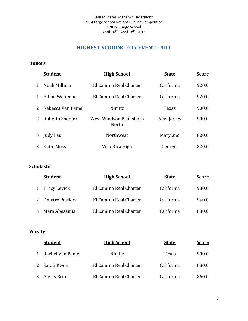# **HIGHEST SCORING FOR EVENT - ART**

#### <span id="page-5-0"></span>**Honors**

|              | <b>Student</b>    | <b>High School</b>               | <b>State</b> | <b>Score</b> |
|--------------|-------------------|----------------------------------|--------------|--------------|
| $\mathbf{1}$ | Noah Millman      | El Camino Real Charter           | California   | 920.0        |
| $\mathbf{1}$ | Ethan Waldman     | El Camino Real Charter           | California   | 920.0        |
| 2            | Rebecca Van Pamel | Nimitz                           | Texas        | 900.0        |
| 2            | Roberta Shapiro   | West Windsor-Plainsboro<br>North | New Jersey   | 900.0        |
| 3            | Judy Lau          | Northwest                        | Maryland     | 820.0        |
| 3            | Katie Moss        | Villa Rica High                  | Georgia      | 820.0        |

#### **Scholastic**

|   | <b>Student</b>   | <b>High School</b>     | <b>State</b> | <b>Score</b> |
|---|------------------|------------------------|--------------|--------------|
| 1 | Tracy Levick     | El Camino Real Charter | California   | 980.0        |
|   | 2 Dmytro Pasikov | El Camino Real Charter | California   | 940.0        |
|   | Mara Abesamis    | El Camino Real Charter | California   | 880.0        |

| <b>Student</b>     | <b>High School</b>     | <b>State</b> | <b>Score</b> |
|--------------------|------------------------|--------------|--------------|
| 1 Rachel Van Pamel | Nimitz                 | Texas        | 900.0        |
| 2 Sarah Kwon       | El Camino Real Charter | California   | 880.0        |
| 3 Alexis Brito     | El Camino Real Charter | California   | 860.0        |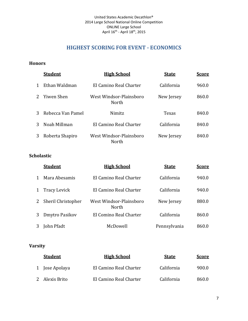# **HIGHEST SCORING FOR EVENT - ECONOMICS**

#### <span id="page-6-0"></span>**Honors**

|              | <b>Student</b>    | <b>High School</b>               | <b>State</b> | <b>Score</b> |
|--------------|-------------------|----------------------------------|--------------|--------------|
| $\mathbf{1}$ | Ethan Waldman     | El Camino Real Charter           | California   | 960.0        |
|              | 2 Yiwen Shen      | West Windsor-Plainsboro<br>North | New Jersey   | 860.0        |
| 3            | Rebecca Van Pamel | Nimitz                           | Texas        | 840.0        |
| 3            | Noah Millman      | El Camino Real Charter           | California   | 840.0        |
| 3            | Roberta Shapiro   | West Windsor-Plainsboro<br>North | New Jersey   | 840.0        |

#### **Scholastic**

|   | <b>Student</b>      | <b>High School</b>               | <b>State</b> | <b>Score</b> |
|---|---------------------|----------------------------------|--------------|--------------|
|   | Mara Abesamis       | El Camino Real Charter           | California   | 940.0        |
|   | <b>Tracy Levick</b> | El Camino Real Charter           | California   | 940.0        |
| 2 | Sheril Christopher  | West Windsor-Plainsboro<br>North | New Jersey   | 880.0        |
| 3 | Dmytro Pasikov      | El Comino Real Charter           | California   | 860.0        |
|   | John Pfadt          | McDowell                         | Pennsylvania | 860.0        |

| <b>Student</b> | <b>High School</b>     | <b>State</b> | <b>Score</b> |
|----------------|------------------------|--------------|--------------|
| 1 Jose Apolaya | El Camino Real Charter | California   | 900.0        |
| 2 Alexis Brito | El Camino Real Charter | California   | 860.0        |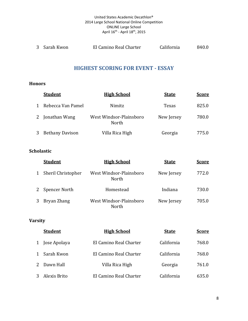#### United States Academic Decathlon® 2014 Large School National Online Competition ONLINE Large School April 16<sup>th</sup> - April 18<sup>th</sup>, 2015

<span id="page-7-0"></span>

| 3 Sarah Kwon | El Camino Real Charter | California | 840.0 |
|--------------|------------------------|------------|-------|
|              |                        |            |       |

## **HIGHEST SCORING FOR EVENT - ESSAY**

#### **Honors**

|              | <b>Student</b>    | <b>High School</b>               | <b>State</b> | <b>Score</b> |
|--------------|-------------------|----------------------------------|--------------|--------------|
| $\mathbf{1}$ | Rebecca Van Pamel | Nimitz                           | Texas        | 825.0        |
|              | 2 Jonathan Wang   | West Windsor-Plainsboro<br>North | New Jersey   | 780.0        |
|              | 3 Bethany Davison | Villa Rica High                  | Georgia      | 775.0        |

## **Scholastic**

| <b>Student</b>     | <b>High School</b>               | <b>State</b> | <b>Score</b> |
|--------------------|----------------------------------|--------------|--------------|
| Sheril Christopher | West Windsor-Plainsboro<br>North | New Jersey   | 772.0        |
| Spencer North      | Homestead                        | Indiana      | 730.0        |
| Bryan Zhang        | West Windsor-Plainsboro<br>North | New Jersey   | 705.0        |

|              | <b>Student</b> | <b>High School</b>     | <b>State</b> | <b>Score</b> |
|--------------|----------------|------------------------|--------------|--------------|
|              | 1 Jose Apolaya | El Camino Real Charter | California   | 768.0        |
| $\mathbf{1}$ | Sarah Kwon     | El Camino Real Charter | California   | 768.0        |
|              | 2 Dawn Hall    | Villa Rica High        | Georgia      | 761.0        |
|              | 3 Alexis Brito | El Camino Real Charter | California   | 635.0        |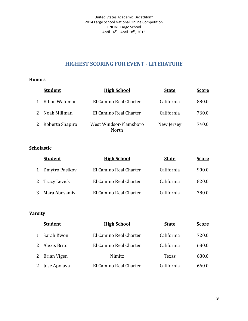# **HIGHEST SCORING FOR EVENT - LITERATURE**

#### <span id="page-8-0"></span>**Honors**

|             | <b>Student</b>    | <b>High School</b>               | <b>State</b> | <b>Score</b> |
|-------------|-------------------|----------------------------------|--------------|--------------|
| 1           | Ethan Waldman     | El Camino Real Charter           | California   | 880.0        |
| $2^{\circ}$ | Noah Millman      | El Camino Real Charter           | California   | 760.0        |
|             | 2 Roberta Shapiro | West Windsor-Plainsboro<br>North | New Jersey   | 740.0        |

## **Scholastic**

| <b>Student</b> | <b>High School</b>     | <b>State</b> | <b>Score</b> |
|----------------|------------------------|--------------|--------------|
| Dmytro Pasikov | El Camino Real Charter | California   | 900.0        |
| 2 Tracy Levick | El Camino Real Charter | California   | 820.0        |
| Mara Abesamis  | El Camino Real Charter | California   | 780.0        |

|              | <b>Student</b> | <b>High School</b>     | <b>State</b> | <b>Score</b> |
|--------------|----------------|------------------------|--------------|--------------|
| $\mathbf{1}$ | Sarah Kwon     | El Camino Real Charter | California   | 720.0        |
|              | 2 Alexis Brito | El Camino Real Charter | California   | 680.0        |
|              | 2 Brian Vigen  | Nimitz                 | Texas        | 680.0        |
|              | 2 Jose Apolaya | El Camino Real Charter | California   | 660.0        |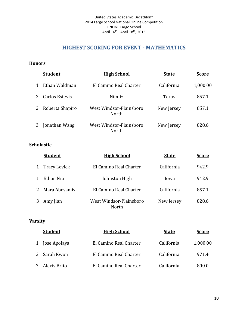# **HIGHEST SCORING FOR EVENT - MATHEMATICS**

#### <span id="page-9-0"></span>**Honors**

|              | <b>Student</b>    | <b>High School</b>               | <b>State</b> | <b>Score</b> |
|--------------|-------------------|----------------------------------|--------------|--------------|
| $\mathbf{1}$ | Ethan Waldman     | El Camino Real Charter           | California   | 1,000.00     |
|              | 2 Carlos Estevis  | Nimitz                           | Texas        | 857.1        |
|              | 2 Roberta Shapiro | West Windsor-Plainsboro<br>North | New Jersey   | 857.1        |
|              | 3 Jonathan Wang   | West Windsor-Plainsboro<br>North | New Jersey   | 828.6        |

## **Scholastic**

| <b>Student</b> | <b>High School</b>               | <u>State</u> | <u>Score</u> |
|----------------|----------------------------------|--------------|--------------|
| Tracy Levick   | El Camino Real Charter           | California   | 942.9        |
| Ethan Niu      | Johnston High                    | Jowa         | 942.9        |
| Mara Abesamis  | El Camino Real Charter           | California   | 857.1        |
| Amy Jian       | West Windsor-Plainsboro<br>North | New Jersey   | 828.6        |

| <b>Student</b> | <b>High School</b>     | <b>State</b> | <b>Score</b> |
|----------------|------------------------|--------------|--------------|
| 1 Jose Apolaya | El Camino Real Charter | California   | 1,000.00     |
| 2 Sarah Kwon   | El Camino Real Charter | California   | 971.4        |
| 3 Alexis Brito | El Camino Real Charter | California   | 800.0        |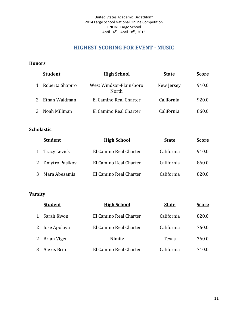# **HIGHEST SCORING FOR EVENT - MUSIC**

#### <span id="page-10-0"></span>**Honors**

|   | <b>Student</b>  | <b>High School</b>               | <b>State</b> | <u>Score</u> |
|---|-----------------|----------------------------------|--------------|--------------|
| 1 | Roberta Shapiro | West Windsor-Plainsboro<br>North | New Jersey   | 940.0        |
|   | 2 Ethan Waldman | El Camino Real Charter           | California   | 920.0        |
|   | 3 Noah Millman  | El Camino Real Charter           | California   | 860.0        |

#### **Scholastic**

| <b>Student</b>   | <b>High School</b>     | <b>State</b> | <b>Score</b> |
|------------------|------------------------|--------------|--------------|
| 1 Tracy Levick   | El Camino Real Charter | California   | 940.0        |
| 2 Dmytro Pasikov | El Camino Real Charter | California   | 860.0        |
| Mara Abesamis    | El Camino Real Charter | California   | 820.0        |

|              | <b>Student</b> | <b>High School</b>     | <b>State</b> | <b>Score</b> |
|--------------|----------------|------------------------|--------------|--------------|
| $\mathbf{1}$ | Sarah Kwon     | El Camino Real Charter | California   | 820.0        |
|              | 2 Jose Apolaya | El Camino Real Charter | California   | 760.0        |
| 2            | Brian Vigen    | Nimitz                 | Texas        | 760.0        |
| 3            | Alexis Brito   | El Camino Real Charter | California   | 740.0        |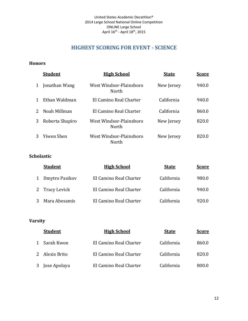# **HIGHEST SCORING FOR EVENT - SCIENCE**

#### <span id="page-11-0"></span>**Honors**

|              | <b>Student</b>  | <b>High School</b>               | <b>State</b> | <b>Score</b> |
|--------------|-----------------|----------------------------------|--------------|--------------|
| 1            | Jonathan Wang   | West Windsor-Plainsboro<br>North | New Jersey   | 940.0        |
| $\mathbf{1}$ | Ethan Waldman   | El Camino Real Charter           | California   | 940.0        |
| $2^{\circ}$  | Noah Millman    | El Camino Real Charter           | California   | 860.0        |
| 3            | Roberta Shapiro | West Windsor-Plainsboro<br>North | New Jersey   | 820.0        |
| 3            | Yiwen Shen      | West Windsor-Plainsboro<br>North | New Jersey   | 820.0        |

#### **Scholastic**

|   | <b>Student</b> | <b>High School</b>     | <b>State</b> | <b>Score</b> |
|---|----------------|------------------------|--------------|--------------|
| 1 | Dmytro Pasikov | El Camino Real Charter | California   | 980.0        |
|   | 2 Tracy Levick | El Camino Real Charter | California   | 940.0        |
|   | Mara Abesamis  | El Camino Real Charter | California   | 920.0        |

| <b>Student</b> | <b>High School</b>     | <b>State</b> | <b>Score</b> |
|----------------|------------------------|--------------|--------------|
| 1 Sarah Kwon   | El Camino Real Charter | California   | 860.0        |
| 2 Alexis Brito | El Camino Real Charter | California   | 820.0        |
| 3 Jose Apolaya | El Camino Real Charter | California   | 800.0        |